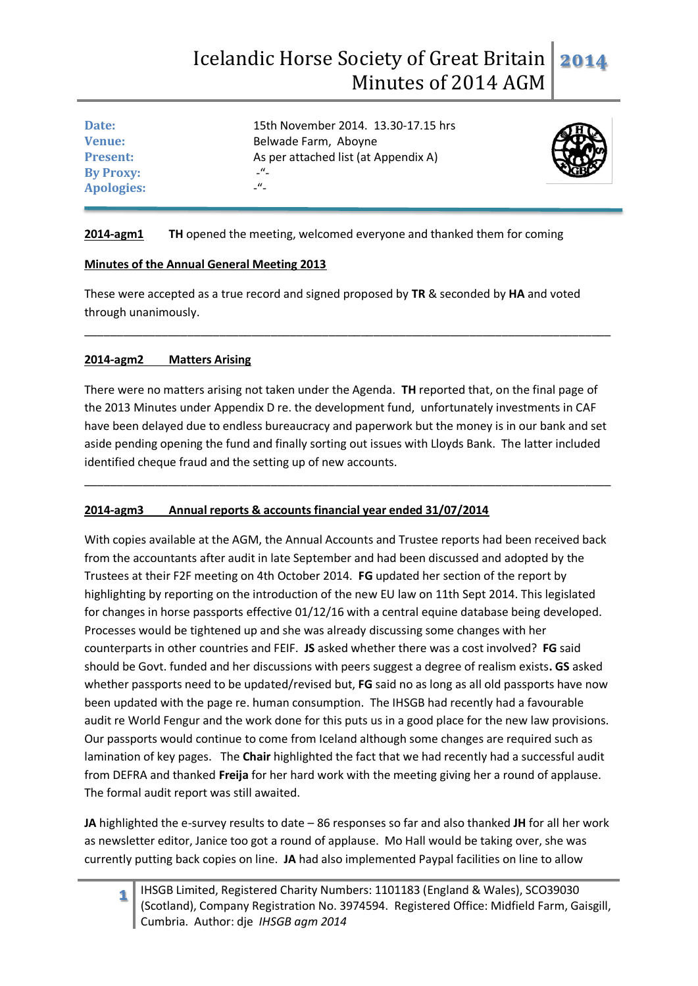| 15th November 2014. 13.30-17.15 hrs  |  |
|--------------------------------------|--|
| Belwade Farm, Aboyne                 |  |
| As per attached list (at Appendix A) |  |
| $ \frac{u}{-}$                       |  |
| $\mathcal{L}$ $^{\prime\prime}$      |  |
|                                      |  |



#### **2014-agm1 TH** opened the meeting, welcomed everyone and thanked them for coming

#### **Minutes of the Annual General Meeting 2013**

These were accepted as a true record and signed proposed by **TR** & seconded by **HA** and voted through unanimously.

\_\_\_\_\_\_\_\_\_\_\_\_\_\_\_\_\_\_\_\_\_\_\_\_\_\_\_\_\_\_\_\_\_\_\_\_\_\_\_\_\_\_\_\_\_\_\_\_\_\_\_\_\_\_\_\_\_\_\_\_\_\_\_\_\_\_\_\_\_\_\_\_\_\_\_\_\_\_\_\_\_\_

#### **2014-agm2 Matters Arising**

There were no matters arising not taken under the Agenda. **TH** reported that, on the final page of the 2013 Minutes under Appendix D re. the development fund, unfortunately investments in CAF have been delayed due to endless bureaucracy and paperwork but the money is in our bank and set aside pending opening the fund and finally sorting out issues with Lloyds Bank. The latter included identified cheque fraud and the setting up of new accounts.

\_\_\_\_\_\_\_\_\_\_\_\_\_\_\_\_\_\_\_\_\_\_\_\_\_\_\_\_\_\_\_\_\_\_\_\_\_\_\_\_\_\_\_\_\_\_\_\_\_\_\_\_\_\_\_\_\_\_\_\_\_\_\_\_\_\_\_\_\_\_\_\_\_\_\_\_\_\_\_\_\_\_

## **2014-agm3 Annual reports & accounts financial year ended 31/07/2014**

With copies available at the AGM, the Annual Accounts and Trustee reports had been received back from the accountants after audit in late September and had been discussed and adopted by the Trustees at their F2F meeting on 4th October 2014. **FG** updated her section of the report by highlighting by reporting on the introduction of the new EU law on 11th Sept 2014. This legislated for changes in horse passports effective 01/12/16 with a central equine database being developed. Processes would be tightened up and she was already discussing some changes with her counterparts in other countries and FEIF. **JS** asked whether there was a cost involved? **FG** said should be Govt. funded and her discussions with peers suggest a degree of realism exists**. GS** asked whether passports need to be updated/revised but, **FG** said no as long as all old passports have now been updated with the page re. human consumption. The IHSGB had recently had a favourable audit re World Fengur and the work done for this puts us in a good place for the new law provisions. Our passports would continue to come from Iceland although some changes are required such as lamination of key pages. The **Chair** highlighted the fact that we had recently had a successful audit from DEFRA and thanked **Freija** for her hard work with the meeting giving her a round of applause. The formal audit report was still awaited.

**JA** highlighted the e-survey results to date – 86 responses so far and also thanked **JH** for all her work as newsletter editor, Janice too got a round of applause. Mo Hall would be taking over, she was currently putting back copies on line. **JA** had also implemented Paypal facilities on line to allow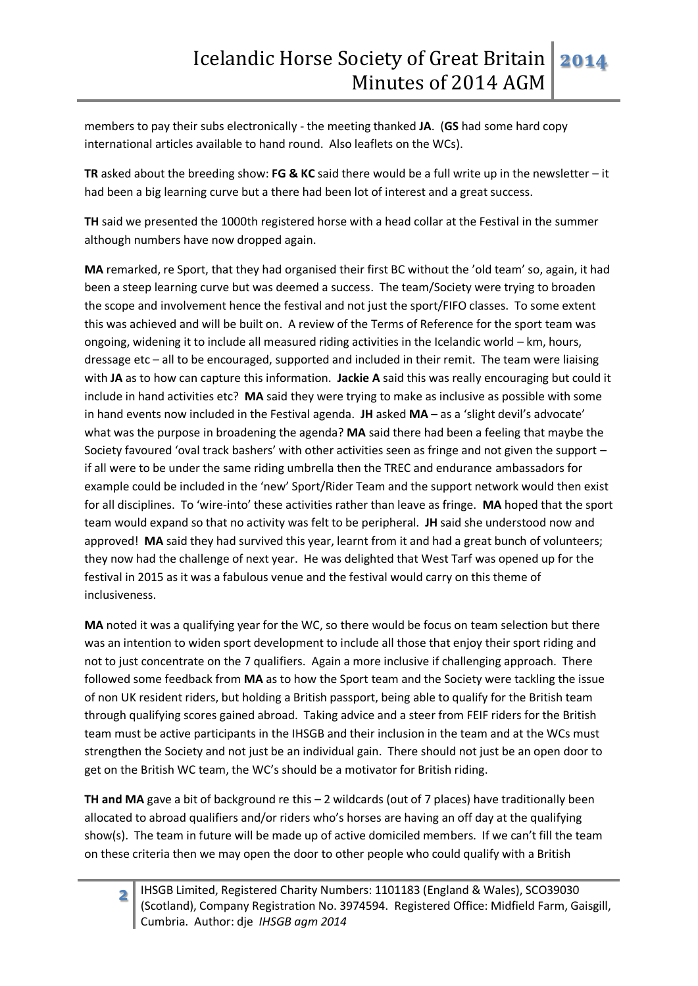members to pay their subs electronically - the meeting thanked **JA**. (**GS** had some hard copy international articles available to hand round. Also leaflets on the WCs).

**TR** asked about the breeding show: **FG & KC** said there would be a full write up in the newsletter – it had been a big learning curve but a there had been lot of interest and a great success.

**TH** said we presented the 1000th registered horse with a head collar at the Festival in the summer although numbers have now dropped again.

**MA** remarked, re Sport, that they had organised their first BC without the 'old team' so, again, it had been a steep learning curve but was deemed a success. The team/Society were trying to broaden the scope and involvement hence the festival and not just the sport/FIFO classes. To some extent this was achieved and will be built on. A review of the Terms of Reference for the sport team was ongoing, widening it to include all measured riding activities in the Icelandic world – km, hours, dressage etc – all to be encouraged, supported and included in their remit. The team were liaising with **JA** as to how can capture this information. **Jackie A** said this was really encouraging but could it include in hand activities etc? **MA** said they were trying to make as inclusive as possible with some in hand events now included in the Festival agenda. **JH** asked **MA** – as a 'slight devil's advocate' what was the purpose in broadening the agenda? **MA** said there had been a feeling that maybe the Society favoured 'oval track bashers' with other activities seen as fringe and not given the support – if all were to be under the same riding umbrella then the TREC and endurance ambassadors for example could be included in the 'new' Sport/Rider Team and the support network would then exist for all disciplines. To 'wire-into' these activities rather than leave as fringe. **MA** hoped that the sport team would expand so that no activity was felt to be peripheral. **JH** said she understood now and approved! **MA** said they had survived this year, learnt from it and had a great bunch of volunteers; they now had the challenge of next year. He was delighted that West Tarf was opened up for the festival in 2015 as it was a fabulous venue and the festival would carry on this theme of inclusiveness.

**MA** noted it was a qualifying year for the WC, so there would be focus on team selection but there was an intention to widen sport development to include all those that enjoy their sport riding and not to just concentrate on the 7 qualifiers. Again a more inclusive if challenging approach. There followed some feedback from **MA** as to how the Sport team and the Society were tackling the issue of non UK resident riders, but holding a British passport, being able to qualify for the British team through qualifying scores gained abroad. Taking advice and a steer from FEIF riders for the British team must be active participants in the IHSGB and their inclusion in the team and at the WCs must strengthen the Society and not just be an individual gain. There should not just be an open door to get on the British WC team, the WC's should be a motivator for British riding.

**TH and MA** gave a bit of background re this – 2 wildcards (out of 7 places) have traditionally been allocated to abroad qualifiers and/or riders who's horses are having an off day at the qualifying show(s). The team in future will be made up of active domiciled members. If we can't fill the team on these criteria then we may open the door to other people who could qualify with a British

**2**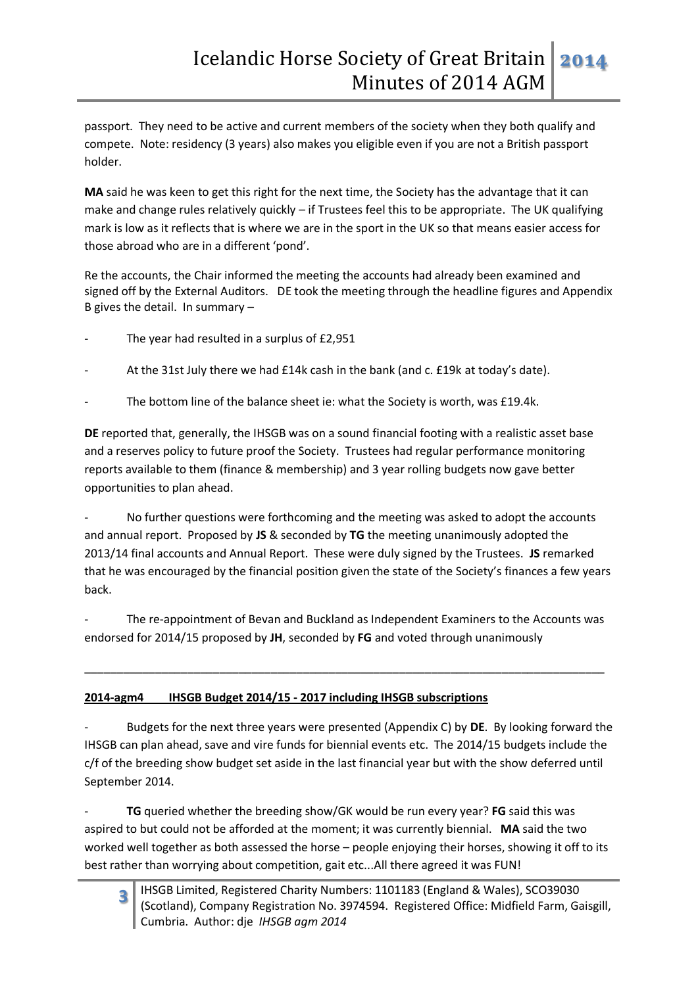passport. They need to be active and current members of the society when they both qualify and compete. Note: residency (3 years) also makes you eligible even if you are not a British passport holder.

**MA** said he was keen to get this right for the next time, the Society has the advantage that it can make and change rules relatively quickly – if Trustees feel this to be appropriate. The UK qualifying mark is low as it reflects that is where we are in the sport in the UK so that means easier access for those abroad who are in a different 'pond'.

Re the accounts, the Chair informed the meeting the accounts had already been examined and signed off by the External Auditors. DE took the meeting through the headline figures and Appendix B gives the detail. In summary –

- The year had resulted in a surplus of £2,951
- At the 31st July there we had £14k cash in the bank (and c. £19k at today's date).
- The bottom line of the balance sheet ie: what the Society is worth, was £19.4k.

**DE** reported that, generally, the IHSGB was on a sound financial footing with a realistic asset base and a reserves policy to future proof the Society. Trustees had regular performance monitoring reports available to them (finance & membership) and 3 year rolling budgets now gave better opportunities to plan ahead.

No further questions were forthcoming and the meeting was asked to adopt the accounts and annual report. Proposed by **JS** & seconded by **TG** the meeting unanimously adopted the 2013/14 final accounts and Annual Report. These were duly signed by the Trustees. **JS** remarked that he was encouraged by the financial position given the state of the Society's finances a few years back.

The re-appointment of Bevan and Buckland as Independent Examiners to the Accounts was endorsed for 2014/15 proposed by **JH**, seconded by **FG** and voted through unanimously

\_\_\_\_\_\_\_\_\_\_\_\_\_\_\_\_\_\_\_\_\_\_\_\_\_\_\_\_\_\_\_\_\_\_\_\_\_\_\_\_\_\_\_\_\_\_\_\_\_\_\_\_\_\_\_\_\_\_\_\_\_\_\_\_\_\_\_\_\_\_\_\_\_\_\_\_\_\_\_\_\_

## **2014-agm4 IHSGB Budget 2014/15 - 2017 including IHSGB subscriptions**

- Budgets for the next three years were presented (Appendix C) by **DE**. By looking forward the IHSGB can plan ahead, save and vire funds for biennial events etc. The 2014/15 budgets include the c/f of the breeding show budget set aside in the last financial year but with the show deferred until September 2014.

TG queried whether the breeding show/GK would be run every year? FG said this was aspired to but could not be afforded at the moment; it was currently biennial. **MA** said the two worked well together as both assessed the horse – people enjoying their horses, showing it off to its best rather than worrying about competition, gait etc...All there agreed it was FUN!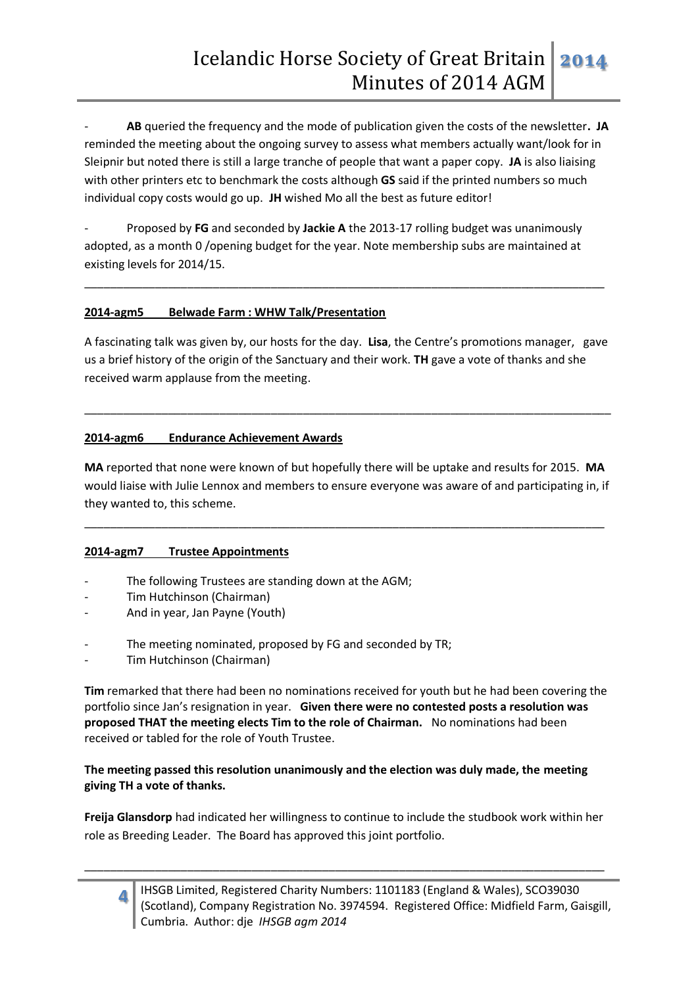- **AB** queried the frequency and the mode of publication given the costs of the newsletter**. JA** reminded the meeting about the ongoing survey to assess what members actually want/look for in Sleipnir but noted there is still a large tranche of people that want a paper copy. **JA** is also liaising with other printers etc to benchmark the costs although **GS** said if the printed numbers so much individual copy costs would go up. **JH** wished Mo all the best as future editor!

- Proposed by **FG** and seconded by **Jackie A** the 2013-17 rolling budget was unanimously adopted, as a month 0 /opening budget for the year. Note membership subs are maintained at existing levels for 2014/15.

\_\_\_\_\_\_\_\_\_\_\_\_\_\_\_\_\_\_\_\_\_\_\_\_\_\_\_\_\_\_\_\_\_\_\_\_\_\_\_\_\_\_\_\_\_\_\_\_\_\_\_\_\_\_\_\_\_\_\_\_\_\_\_\_\_\_\_\_\_\_\_\_\_\_\_\_\_\_\_\_\_

#### **2014-agm5 Belwade Farm : WHW Talk/Presentation**

A fascinating talk was given by, our hosts for the day. **Lisa**, the Centre's promotions manager, gave us a brief history of the origin of the Sanctuary and their work. **TH** gave a vote of thanks and she received warm applause from the meeting.

\_\_\_\_\_\_\_\_\_\_\_\_\_\_\_\_\_\_\_\_\_\_\_\_\_\_\_\_\_\_\_\_\_\_\_\_\_\_\_\_\_\_\_\_\_\_\_\_\_\_\_\_\_\_\_\_\_\_\_\_\_\_\_\_\_\_\_\_\_\_\_\_\_\_\_\_\_\_\_\_\_\_

#### **2014-agm6 Endurance Achievement Awards**

**MA** reported that none were known of but hopefully there will be uptake and results for 2015. **MA**  would liaise with Julie Lennox and members to ensure everyone was aware of and participating in, if they wanted to, this scheme.

\_\_\_\_\_\_\_\_\_\_\_\_\_\_\_\_\_\_\_\_\_\_\_\_\_\_\_\_\_\_\_\_\_\_\_\_\_\_\_\_\_\_\_\_\_\_\_\_\_\_\_\_\_\_\_\_\_\_\_\_\_\_\_\_\_\_\_\_\_\_\_\_\_\_\_\_\_\_\_\_\_

## **2014-agm7 Trustee Appointments**

- The following Trustees are standing down at the AGM;
- Tim Hutchinson (Chairman)
- And in year, Jan Payne (Youth)
- The meeting nominated, proposed by FG and seconded by TR;
- Tim Hutchinson (Chairman)

**Tim** remarked that there had been no nominations received for youth but he had been covering the portfolio since Jan's resignation in year. **Given there were no contested posts a resolution was proposed THAT the meeting elects Tim to the role of Chairman.** No nominations had been received or tabled for the role of Youth Trustee.

#### **The meeting passed this resolution unanimously and the election was duly made, the meeting giving TH a vote of thanks.**

**Freija Glansdorp** had indicated her willingness to continue to include the studbook work within her role as Breeding Leader. The Board has approved this joint portfolio.

\_\_\_\_\_\_\_\_\_\_\_\_\_\_\_\_\_\_\_\_\_\_\_\_\_\_\_\_\_\_\_\_\_\_\_\_\_\_\_\_\_\_\_\_\_\_\_\_\_\_\_\_\_\_\_\_\_\_\_\_\_\_\_\_\_\_\_\_\_\_\_\_\_\_\_\_\_\_\_\_\_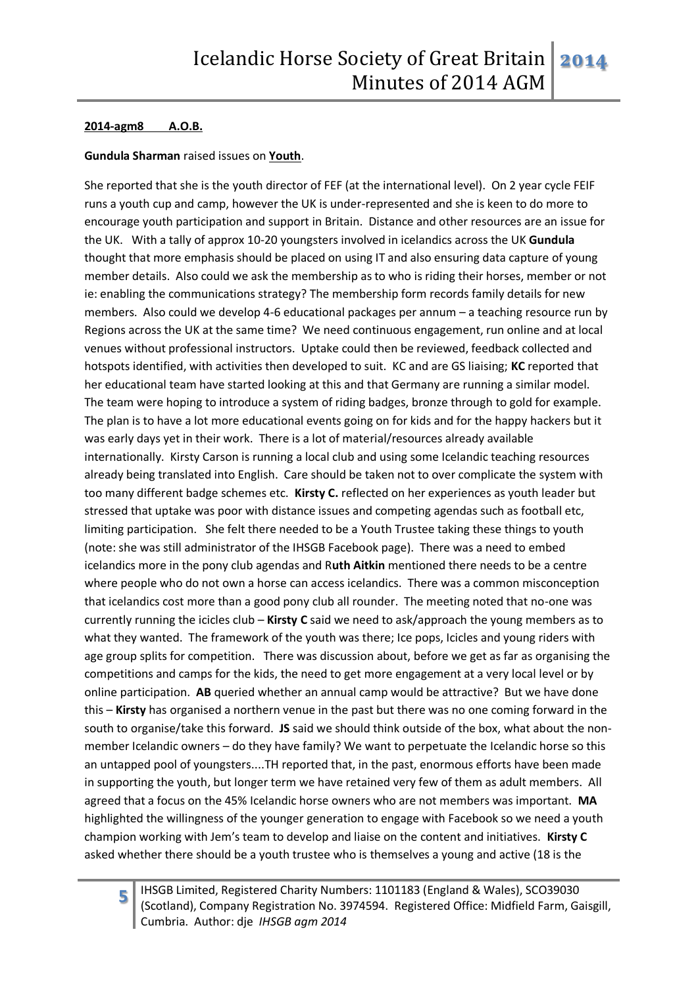#### **2014-agm8 A.O.B.**

#### **Gundula Sharman** raised issues on **Youth**.

She reported that she is the youth director of FEF (at the international level). On 2 year cycle FEIF runs a youth cup and camp, however the UK is under-represented and she is keen to do more to encourage youth participation and support in Britain. Distance and other resources are an issue for the UK. With a tally of approx 10-20 youngsters involved in icelandics across the UK **Gundula** thought that more emphasis should be placed on using IT and also ensuring data capture of young member details. Also could we ask the membership as to who is riding their horses, member or not ie: enabling the communications strategy? The membership form records family details for new members. Also could we develop 4-6 educational packages per annum – a teaching resource run by Regions across the UK at the same time? We need continuous engagement, run online and at local venues without professional instructors. Uptake could then be reviewed, feedback collected and hotspots identified, with activities then developed to suit. KC and are GS liaising; **KC** reported that her educational team have started looking at this and that Germany are running a similar model. The team were hoping to introduce a system of riding badges, bronze through to gold for example. The plan is to have a lot more educational events going on for kids and for the happy hackers but it was early days yet in their work. There is a lot of material/resources already available internationally. Kirsty Carson is running a local club and using some Icelandic teaching resources already being translated into English. Care should be taken not to over complicate the system with too many different badge schemes etc. **Kirsty C.** reflected on her experiences as youth leader but stressed that uptake was poor with distance issues and competing agendas such as football etc, limiting participation. She felt there needed to be a Youth Trustee taking these things to youth (note: she was still administrator of the IHSGB Facebook page). There was a need to embed icelandics more in the pony club agendas and R**uth Aitkin** mentioned there needs to be a centre where people who do not own a horse can access icelandics. There was a common misconception that icelandics cost more than a good pony club all rounder. The meeting noted that no-one was currently running the icicles club – **Kirsty C** said we need to ask/approach the young members as to what they wanted. The framework of the youth was there; Ice pops, Icicles and young riders with age group splits for competition. There was discussion about, before we get as far as organising the competitions and camps for the kids, the need to get more engagement at a very local level or by online participation. **AB** queried whether an annual camp would be attractive? But we have done this – **Kirsty** has organised a northern venue in the past but there was no one coming forward in the south to organise/take this forward. **JS** said we should think outside of the box, what about the nonmember Icelandic owners – do they have family? We want to perpetuate the Icelandic horse so this an untapped pool of youngsters....TH reported that, in the past, enormous efforts have been made in supporting the youth, but longer term we have retained very few of them as adult members. All agreed that a focus on the 45% Icelandic horse owners who are not members was important. **MA** highlighted the willingness of the younger generation to engage with Facebook so we need a youth champion working with Jem's team to develop and liaise on the content and initiatives. **Kirsty C** asked whether there should be a youth trustee who is themselves a young and active (18 is the

**5**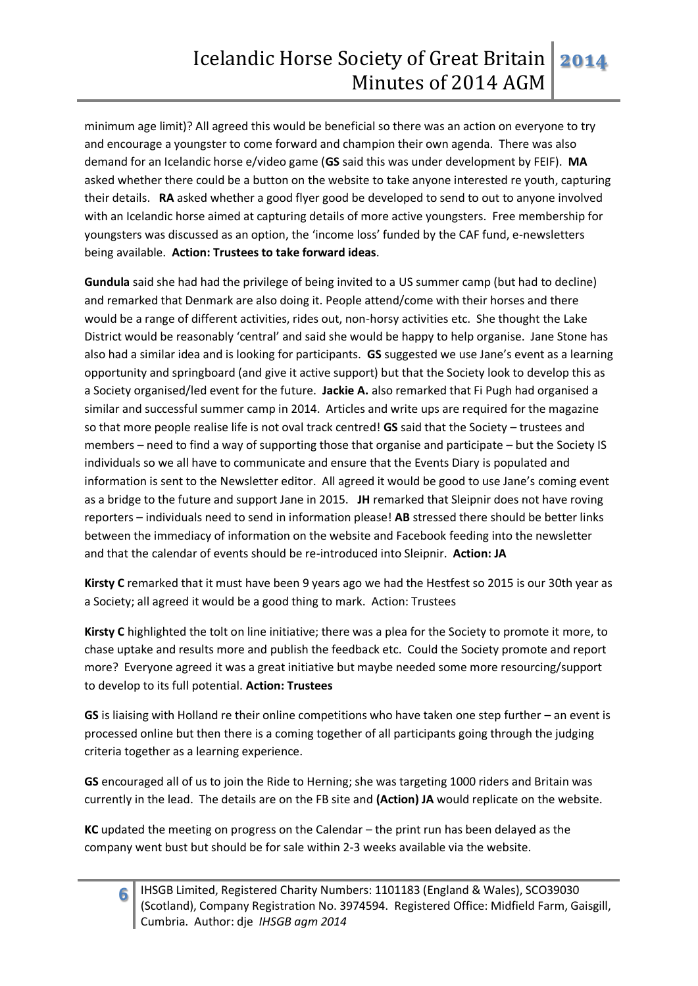minimum age limit)? All agreed this would be beneficial so there was an action on everyone to try and encourage a youngster to come forward and champion their own agenda. There was also demand for an Icelandic horse e/video game (**GS** said this was under development by FEIF). **MA** asked whether there could be a button on the website to take anyone interested re youth, capturing their details. **RA** asked whether a good flyer good be developed to send to out to anyone involved with an Icelandic horse aimed at capturing details of more active youngsters. Free membership for youngsters was discussed as an option, the 'income loss' funded by the CAF fund, e-newsletters being available. **Action: Trustees to take forward ideas**.

**Gundula** said she had had the privilege of being invited to a US summer camp (but had to decline) and remarked that Denmark are also doing it. People attend/come with their horses and there would be a range of different activities, rides out, non-horsy activities etc. She thought the Lake District would be reasonably 'central' and said she would be happy to help organise. Jane Stone has also had a similar idea and is looking for participants. **GS** suggested we use Jane's event as a learning opportunity and springboard (and give it active support) but that the Society look to develop this as a Society organised/led event for the future. **Jackie A.** also remarked that Fi Pugh had organised a similar and successful summer camp in 2014. Articles and write ups are required for the magazine so that more people realise life is not oval track centred! **GS** said that the Society – trustees and members – need to find a way of supporting those that organise and participate – but the Society IS individuals so we all have to communicate and ensure that the Events Diary is populated and information is sent to the Newsletter editor. All agreed it would be good to use Jane's coming event as a bridge to the future and support Jane in 2015. **JH** remarked that Sleipnir does not have roving reporters – individuals need to send in information please! **AB** stressed there should be better links between the immediacy of information on the website and Facebook feeding into the newsletter and that the calendar of events should be re-introduced into Sleipnir. **Action: JA**

**Kirsty C** remarked that it must have been 9 years ago we had the Hestfest so 2015 is our 30th year as a Society; all agreed it would be a good thing to mark. Action: Trustees

**Kirsty C** highlighted the tolt on line initiative; there was a plea for the Society to promote it more, to chase uptake and results more and publish the feedback etc. Could the Society promote and report more? Everyone agreed it was a great initiative but maybe needed some more resourcing/support to develop to its full potential. **Action: Trustees**

**GS** is liaising with Holland re their online competitions who have taken one step further – an event is processed online but then there is a coming together of all participants going through the judging criteria together as a learning experience.

**GS** encouraged all of us to join the Ride to Herning; she was targeting 1000 riders and Britain was currently in the lead. The details are on the FB site and **(Action) JA** would replicate on the website.

**KC** updated the meeting on progress on the Calendar – the print run has been delayed as the company went bust but should be for sale within 2-3 weeks available via the website.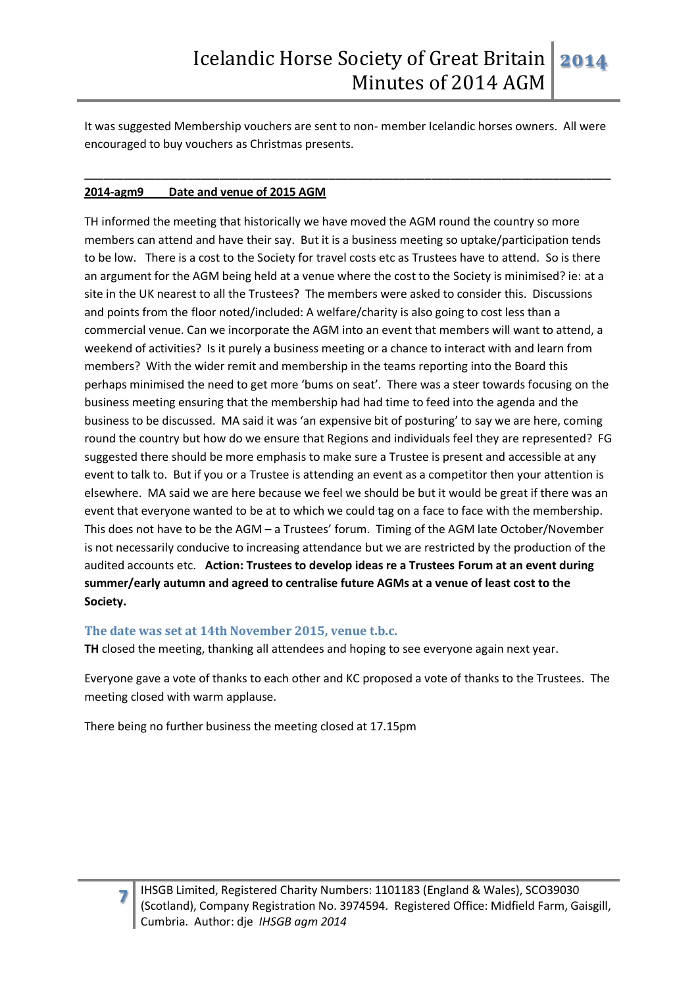It was suggested Membership vouchers are sent to non- member Icelandic horses owners. All were encouraged to buy vouchers as Christmas presents.

**\_\_\_\_\_\_\_\_\_\_\_\_\_\_\_\_\_\_\_\_\_\_\_\_\_\_\_\_\_\_\_\_\_\_\_\_\_\_\_\_\_\_\_\_\_\_\_\_\_\_\_\_\_\_\_\_\_\_\_\_\_\_\_\_\_\_\_\_\_\_\_\_\_\_\_\_\_\_\_\_\_\_**

#### **2014-agm9 Date and venue of 2015 AGM**

TH informed the meeting that historically we have moved the AGM round the country so more members can attend and have their say. But it is a business meeting so uptake/participation tends to be low. There is a cost to the Society for travel costs etc as Trustees have to attend. So is there an argument for the AGM being held at a venue where the cost to the Society is minimised? ie: at a site in the UK nearest to all the Trustees? The members were asked to consider this. Discussions and points from the floor noted/included: A welfare/charity is also going to cost less than a commercial venue. Can we incorporate the AGM into an event that members will want to attend, a weekend of activities? Is it purely a business meeting or a chance to interact with and learn from members? With the wider remit and membership in the teams reporting into the Board this perhaps minimised the need to get more 'bums on seat'. There was a steer towards focusing on the business meeting ensuring that the membership had had time to feed into the agenda and the business to be discussed. MA said it was 'an expensive bit of posturing' to say we are here, coming round the country but how do we ensure that Regions and individuals feel they are represented? FG suggested there should be more emphasis to make sure a Trustee is present and accessible at any event to talk to. But if you or a Trustee is attending an event as a competitor then your attention is elsewhere. MA said we are here because we feel we should be but it would be great if there was an event that everyone wanted to be at to which we could tag on a face to face with the membership. This does not have to be the AGM – a Trustees' forum. Timing of the AGM late October/November is not necessarily conducive to increasing attendance but we are restricted by the production of the audited accounts etc. **Action: Trustees to develop ideas re a Trustees Forum at an event during summer/early autumn and agreed to centralise future AGMs at a venue of least cost to the Society.**

#### **The date was set at 14th November 2015, venue t.b.c.**

**TH** closed the meeting, thanking all attendees and hoping to see everyone again next year.

Everyone gave a vote of thanks to each other and KC proposed a vote of thanks to the Trustees. The meeting closed with warm applause.

There being no further business the meeting closed at 17.15pm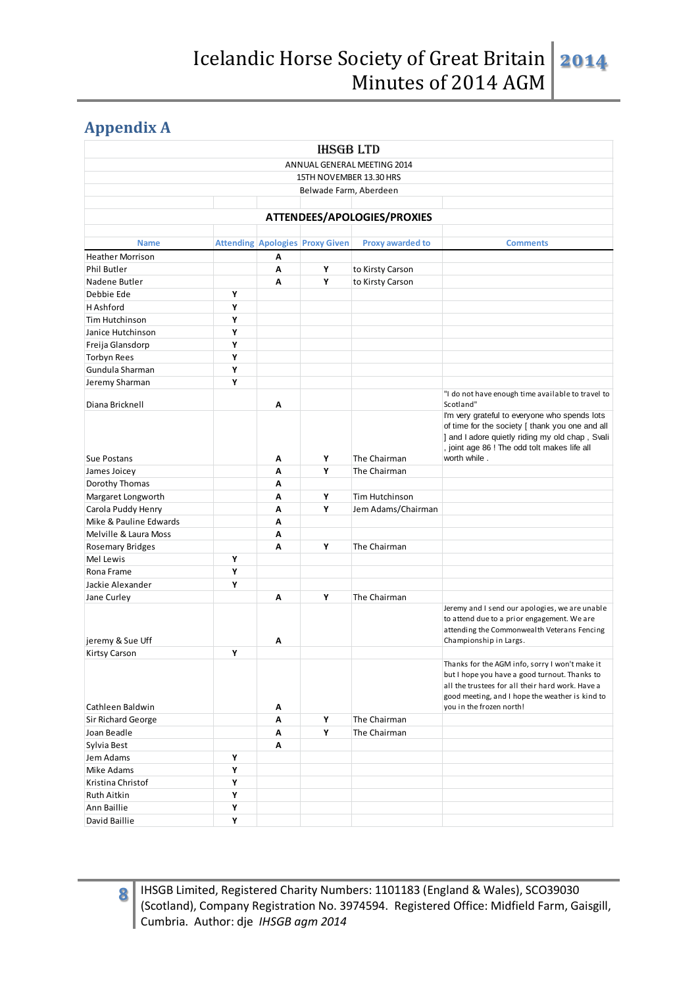# **Appendix A**

|                         |   |   | <b>IHSGB LTD</b>                       |                             |                                                                                                                                                                                                        |
|-------------------------|---|---|----------------------------------------|-----------------------------|--------------------------------------------------------------------------------------------------------------------------------------------------------------------------------------------------------|
|                         |   |   |                                        | ANNUAL GENERAL MEETING 2014 |                                                                                                                                                                                                        |
|                         |   |   | 15TH NOVEMBER 13.30 HRS                |                             |                                                                                                                                                                                                        |
|                         |   |   | Belwade Farm, Aberdeen                 |                             |                                                                                                                                                                                                        |
|                         |   |   |                                        |                             |                                                                                                                                                                                                        |
|                         |   |   |                                        | ATTENDEES/APOLOGIES/PROXIES |                                                                                                                                                                                                        |
|                         |   |   |                                        |                             |                                                                                                                                                                                                        |
| <b>Name</b>             |   |   | <b>Attending Apologies Proxy Given</b> | <b>Proxy awarded to</b>     | <b>Comments</b>                                                                                                                                                                                        |
| <b>Heather Morrison</b> |   | A |                                        |                             |                                                                                                                                                                                                        |
| <b>Phil Butler</b>      |   | Α | Υ                                      | to Kirsty Carson            |                                                                                                                                                                                                        |
| Nadene Butler           |   | A | Υ                                      | to Kirsty Carson            |                                                                                                                                                                                                        |
| Debbie Ede              | Υ |   |                                        |                             |                                                                                                                                                                                                        |
| H Ashford               | Υ |   |                                        |                             |                                                                                                                                                                                                        |
| Tim Hutchinson          | Υ |   |                                        |                             |                                                                                                                                                                                                        |
| Janice Hutchinson       | Υ |   |                                        |                             |                                                                                                                                                                                                        |
| Freija Glansdorp        | Υ |   |                                        |                             |                                                                                                                                                                                                        |
| <b>Torbyn Rees</b>      | Υ |   |                                        |                             |                                                                                                                                                                                                        |
| Gundula Sharman         | Υ |   |                                        |                             |                                                                                                                                                                                                        |
| Jeremy Sharman          | Υ |   |                                        |                             |                                                                                                                                                                                                        |
| Diana Bricknell         |   | Α |                                        |                             | "I do not have enough time available to travel to<br>Scotland"                                                                                                                                         |
|                         |   |   |                                        |                             | I'm very grateful to everyone who spends lots                                                                                                                                                          |
|                         |   |   |                                        |                             | of time for the society [ thank you one and all<br>] and I adore quietly riding my old chap, Svali<br>, joint age 86 ! The odd tolt makes life all                                                     |
| Sue Postans             |   | Α | Υ                                      | The Chairman                | worth while.                                                                                                                                                                                           |
| James Joicey            |   | A | Υ                                      | The Chairman                |                                                                                                                                                                                                        |
| Dorothy Thomas          |   | A |                                        |                             |                                                                                                                                                                                                        |
| Margaret Longworth      |   | A | Υ                                      | Tim Hutchinson              |                                                                                                                                                                                                        |
| Carola Puddy Henry      |   | A | Υ                                      | Jem Adams/Chairman          |                                                                                                                                                                                                        |
| Mike & Pauline Edwards  |   | Α |                                        |                             |                                                                                                                                                                                                        |
| Melville & Laura Moss   |   | A |                                        |                             |                                                                                                                                                                                                        |
| <b>Rosemary Bridges</b> |   | A | Υ                                      | The Chairman                |                                                                                                                                                                                                        |
| Mel Lewis               | Υ |   |                                        |                             |                                                                                                                                                                                                        |
| Rona Frame              | Υ |   |                                        |                             |                                                                                                                                                                                                        |
| Jackie Alexander        | Υ |   |                                        |                             |                                                                                                                                                                                                        |
| Jane Curley             |   | A | Υ                                      | The Chairman                |                                                                                                                                                                                                        |
| jeremy & Sue Uff        |   | Α |                                        |                             | Jeremy and I send our apologies, we are unable<br>to attend due to a prior engagement. We are<br>attending the Commonwealth Veterans Fencing<br>Championship in Largs.                                 |
| Kirtsy Carson           | Υ |   |                                        |                             |                                                                                                                                                                                                        |
|                         |   |   |                                        |                             | Thanks for the AGM info, sorry I won't make it<br>but I hope you have a good turnout. Thanks to<br>all the trustees for all their hard work. Have a<br>good meeting, and I hope the weather is kind to |
| Cathleen Baldwin        |   | Α |                                        |                             | you in the frozen north!                                                                                                                                                                               |
| Sir Richard George      |   | Α | Υ                                      | The Chairman                |                                                                                                                                                                                                        |
| Joan Beadle             |   | Α | Υ                                      | The Chairman                |                                                                                                                                                                                                        |
| Sylvia Best             |   | A |                                        |                             |                                                                                                                                                                                                        |
| Jem Adams               | Υ |   |                                        |                             |                                                                                                                                                                                                        |
| Mike Adams              | Υ |   |                                        |                             |                                                                                                                                                                                                        |
| Kristina Christof       | Υ |   |                                        |                             |                                                                                                                                                                                                        |
| Ruth Aitkin             | Υ |   |                                        |                             |                                                                                                                                                                                                        |
| Ann Baillie             | Υ |   |                                        |                             |                                                                                                                                                                                                        |
| David Baillie           | Υ |   |                                        |                             |                                                                                                                                                                                                        |

**8**